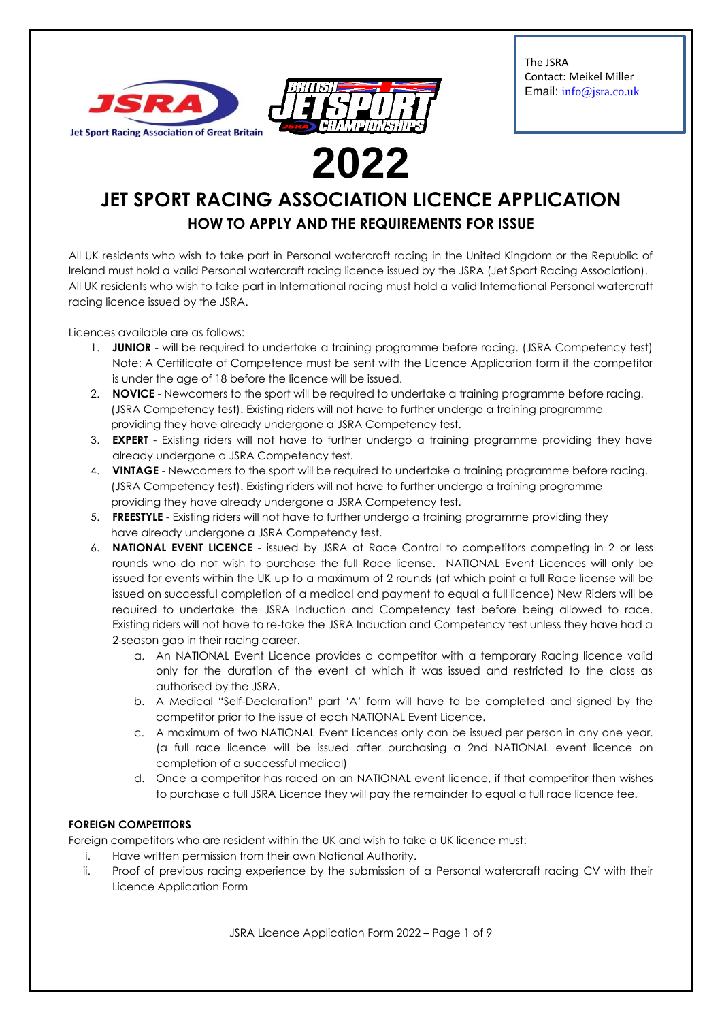



The JSRA Contact: Meikel Miller Email: info@jsra.co.uk

# **JET SPORT RACING ASSOCIATION LICENCE APPLICATION HOW TO APPLY AND THE REQUIREMENTS FOR ISSUE**

All UK residents who wish to take part in Personal watercraft racing in the United Kingdom or the Republic of Ireland must hold a valid Personal watercraft racing licence issued by the JSRA (Jet Sport Racing Association). All UK residents who wish to take part in International racing must hold a valid International Personal watercraft racing licence issued by the JSRA.

Licences available are as follows:

- 1. **JUNIOR**  will be required to undertake a training programme before racing. (JSRA Competency test) Note: A Certificate of Competence must be sent with the Licence Application form if the competitor is under the age of 18 before the licence will be issued.
- 2. **NOVICE**  Newcomers to the sport will be required to undertake a training programme before racing. (JSRA Competency test). Existing riders will not have to further undergo a training programme providing they have already undergone a JSRA Competency test.
- 3. **EXPERT**  Existing riders will not have to further undergo a training programme providing they have already undergone a JSRA Competency test.
- 4. **VINTAGE** Newcomers to the sport will be required to undertake a training programme before racing. (JSRA Competency test). Existing riders will not have to further undergo a training programme providing they have already undergone a JSRA Competency test.
- 5. **FREESTYLE**  Existing riders will not have to further undergo a training programme providing they have already undergone a JSRA Competency test.
- 6. **NATIONAL EVENT LICENCE** issued by JSRA at Race Control to competitors competing in 2 or less rounds who do not wish to purchase the full Race license. NATIONAL Event Licences will only be issued for events within the UK up to a maximum of 2 rounds (at which point a full Race license will be issued on successful completion of a medical and payment to equal a full licence) New Riders will be required to undertake the JSRA Induction and Competency test before being allowed to race. Existing riders will not have to re-take the JSRA Induction and Competency test unless they have had a 2-season gap in their racing career.
	- a. An NATIONAL Event Licence provides a competitor with a temporary Racing licence valid only for the duration of the event at which it was issued and restricted to the class as authorised by the JSRA.
	- b. A Medical "Self-Declaration" part 'A' form will have to be completed and signed by the competitor prior to the issue of each NATIONAL Event Licence.
	- c. A maximum of two NATIONAL Event Licences only can be issued per person in any one year. (a full race licence will be issued after purchasing a 2nd NATIONAL event licence on completion of a successful medical)
	- d. Once a competitor has raced on an NATIONAL event licence, if that competitor then wishes to purchase a full JSRA Licence they will pay the remainder to equal a full race licence fee.

#### **FOREIGN COMPETITORS**

Foreign competitors who are resident within the UK and wish to take a UK licence must:

- i. Have written permission from their own National Authority.
- ii. Proof of previous racing experience by the submission of a Personal watercraft racing CV with their Licence Application Form

JSRA Licence Application Form 2022 – Page 1 of 9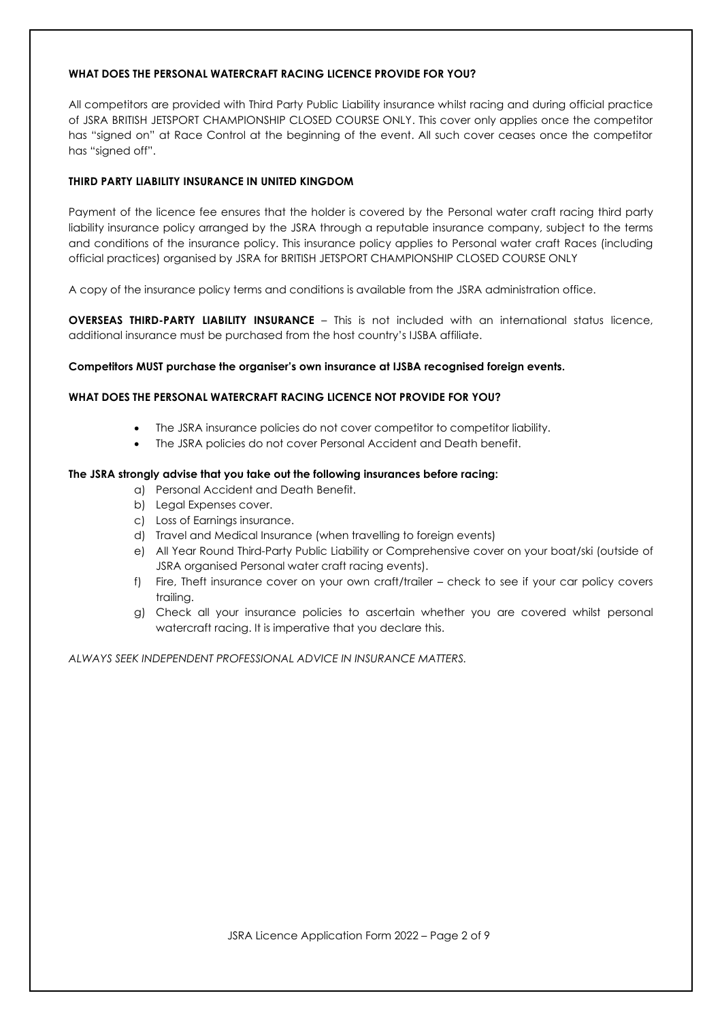#### **WHAT DOES THE PERSONAL WATERCRAFT RACING LICENCE PROVIDE FOR YOU?**

All competitors are provided with Third Party Public Liability insurance whilst racing and during official practice of JSRA BRITISH JETSPORT CHAMPIONSHIP CLOSED COURSE ONLY. This cover only applies once the competitor has "signed on" at Race Control at the beginning of the event. All such cover ceases once the competitor has "signed off".

#### **THIRD PARTY LIABILITY INSURANCE IN UNITED KINGDOM**

Payment of the licence fee ensures that the holder is covered by the Personal water craft racing third party liability insurance policy arranged by the JSRA through a reputable insurance company, subject to the terms and conditions of the insurance policy. This insurance policy applies to Personal water craft Races (including official practices) organised by JSRA for BRITISH JETSPORT CHAMPIONSHIP CLOSED COURSE ONLY

A copy of the insurance policy terms and conditions is available from the JSRA administration office.

**OVERSEAS THIRD-PARTY LIABILITY INSURANCE** – This is not included with an international status licence, additional insurance must be purchased from the host country's IJSBA affiliate.

#### **Competitors MUST purchase the organiser's own insurance at IJSBA recognised foreign events.**

#### **WHAT DOES THE PERSONAL WATERCRAFT RACING LICENCE NOT PROVIDE FOR YOU?**

- The JSRA insurance policies do not cover competitor to competitor liability.
- The JSRA policies do not cover Personal Accident and Death benefit.

#### **The JSRA strongly advise that you take out the following insurances before racing:**

- a) Personal Accident and Death Benefit.
- b) Legal Expenses cover.
- c) Loss of Earnings insurance.
- d) Travel and Medical Insurance (when travelling to foreign events)
- e) All Year Round Third-Party Public Liability or Comprehensive cover on your boat/ski (outside of JSRA organised Personal water craft racing events).
- f) Fire, Theft insurance cover on your own craft/trailer check to see if your car policy covers trailing.
- g) Check all your insurance policies to ascertain whether you are covered whilst personal watercraft racing. It is imperative that you declare this.

*ALWAYS SEEK INDEPENDENT PROFESSIONAL ADVICE IN INSURANCE MATTERS.*

JSRA Licence Application Form 2022 – Page 2 of 9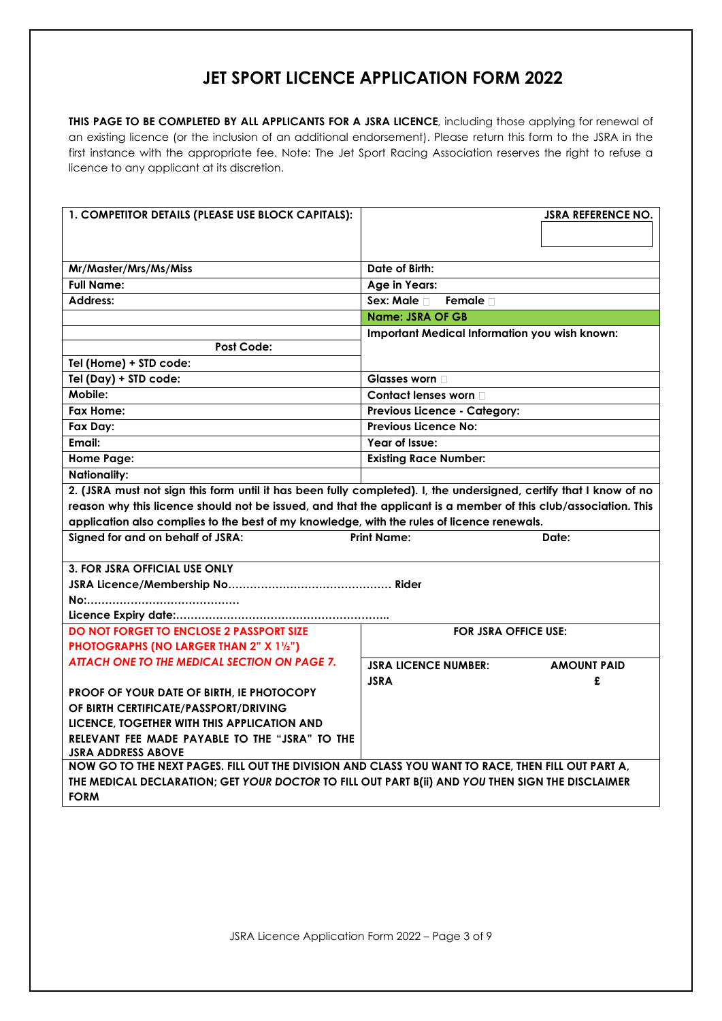### **JET SPORT LICENCE APPLICATION FORM 2022**

**THIS PAGE TO BE COMPLETED BY ALL APPLICANTS FOR A JSRA LICENCE**, including those applying for renewal of an existing licence (or the inclusion of an additional endorsement). Please return this form to the JSRA in the first instance with the appropriate fee. Note: The Jet Sport Racing Association reserves the right to refuse a licence to any applicant at its discretion.

| 1. COMPETITOR DETAILS (PLEASE USE BLOCK CAPITALS):                                                                                                                                                    | <b>JSRA REFERENCE NO.</b>                                                                                          |
|-------------------------------------------------------------------------------------------------------------------------------------------------------------------------------------------------------|--------------------------------------------------------------------------------------------------------------------|
|                                                                                                                                                                                                       |                                                                                                                    |
|                                                                                                                                                                                                       |                                                                                                                    |
| Mr/Master/Mrs/Ms/Miss                                                                                                                                                                                 | Date of Birth:                                                                                                     |
| <b>Full Name:</b>                                                                                                                                                                                     | Age in Years:                                                                                                      |
| Address:                                                                                                                                                                                              | Sex: Male n<br>Female $\Box$                                                                                       |
|                                                                                                                                                                                                       | <b>Name: JSRA OF GB</b>                                                                                            |
|                                                                                                                                                                                                       | Important Medical Information you wish known:                                                                      |
| Post Code:                                                                                                                                                                                            |                                                                                                                    |
| Tel (Home) + STD code:                                                                                                                                                                                |                                                                                                                    |
| Tel (Day) + STD code:                                                                                                                                                                                 | Glasses worn                                                                                                       |
| Mobile:                                                                                                                                                                                               | Contact lenses worn D                                                                                              |
| Fax Home:                                                                                                                                                                                             | <b>Previous Licence - Category:</b>                                                                                |
| Fax Day:                                                                                                                                                                                              | <b>Previous Licence No:</b>                                                                                        |
| Email:                                                                                                                                                                                                | Year of Issue:                                                                                                     |
| <b>Home Page:</b>                                                                                                                                                                                     | <b>Existing Race Number:</b>                                                                                       |
| <b>Nationality:</b>                                                                                                                                                                                   |                                                                                                                    |
|                                                                                                                                                                                                       | 2. (JSRA must not sign this form until it has been fully completed). I, the undersigned, certify that I know of no |
|                                                                                                                                                                                                       | reason why this licence should not be issued, and that the applicant is a member of this club/association. This    |
| application also complies to the best of my knowledge, with the rules of licence renewals.                                                                                                            |                                                                                                                    |
| Signed for and on behalf of JSRA:                                                                                                                                                                     | <b>Print Name:</b><br>Date:                                                                                        |
|                                                                                                                                                                                                       |                                                                                                                    |
| <b>3. FOR JSRA OFFICIAL USE ONLY</b>                                                                                                                                                                  |                                                                                                                    |
|                                                                                                                                                                                                       |                                                                                                                    |
|                                                                                                                                                                                                       |                                                                                                                    |
|                                                                                                                                                                                                       |                                                                                                                    |
| <b>DO NOT FORGET TO ENCLOSE 2 PASSPORT SIZE</b>                                                                                                                                                       | <b>FOR JSRA OFFICE USE:</b>                                                                                        |
| <b>PHOTOGRAPHS (NO LARGER THAN 2" X 11/2")</b>                                                                                                                                                        |                                                                                                                    |
| <b>ATTACH ONE TO THE MEDICAL SECTION ON PAGE 7.</b>                                                                                                                                                   | <b>JSRA LICENCE NUMBER:</b><br><b>AMOUNT PAID</b>                                                                  |
|                                                                                                                                                                                                       | <b>JSRA</b><br>£                                                                                                   |
| PROOF OF YOUR DATE OF BIRTH, IE PHOTOCOPY<br>OF BIRTH CERTIFICATE/PASSPORT/DRIVING                                                                                                                    |                                                                                                                    |
|                                                                                                                                                                                                       |                                                                                                                    |
|                                                                                                                                                                                                       |                                                                                                                    |
| LICENCE, TOGETHER WITH THIS APPLICATION AND                                                                                                                                                           |                                                                                                                    |
| RELEVANT FEE MADE PAYABLE TO THE "JSRA" TO THE<br><b>JSRA ADDRESS ABOVE</b>                                                                                                                           |                                                                                                                    |
|                                                                                                                                                                                                       |                                                                                                                    |
| NOW GO TO THE NEXT PAGES. FILL OUT THE DIVISION AND CLASS YOU WANT TO RACE, THEN FILL OUT PART A,<br>THE MEDICAL DECLARATION; GET YOUR DOCTOR TO FILL OUT PART B(ii) AND YOU THEN SIGN THE DISCLAIMER |                                                                                                                    |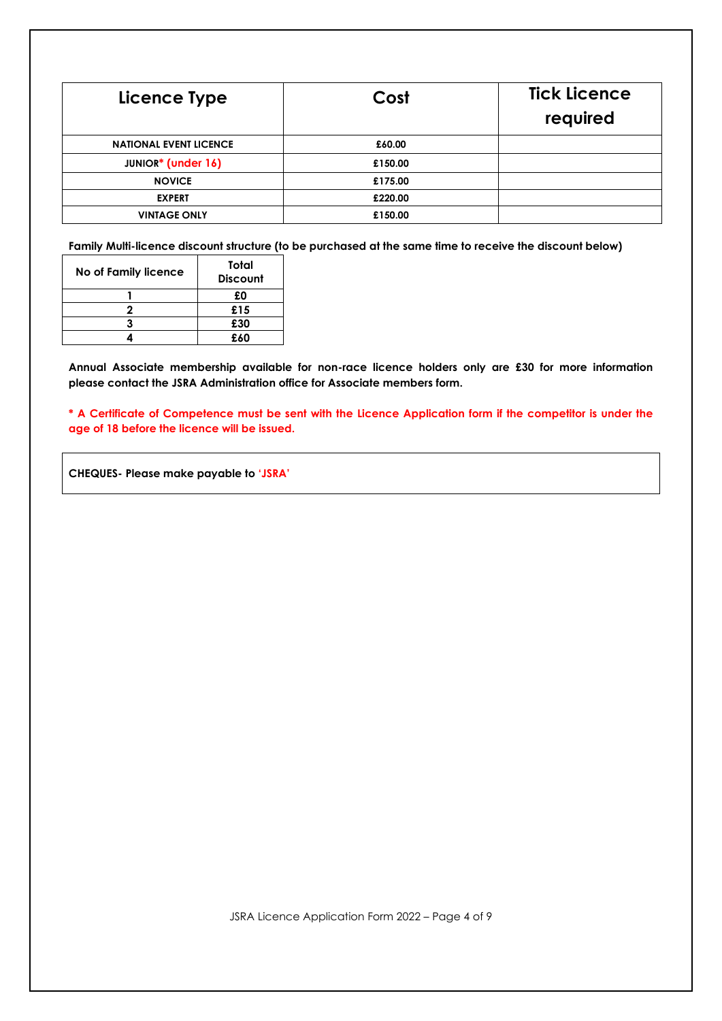| Licence Type                  | Cost    | <b>Tick Licence</b><br>required |
|-------------------------------|---------|---------------------------------|
| <b>NATIONAL EVENT LICENCE</b> | £60.00  |                                 |
| <b>JUNIOR*</b> (under 16)     | £150.00 |                                 |
| <b>NOVICE</b>                 | £175.00 |                                 |
| <b>EXPERT</b>                 | £220.00 |                                 |
| <b>VINTAGE ONLY</b>           | £150.00 |                                 |

**Family Multi-licence discount structure (to be purchased at the same time to receive the discount below)**

| No of Family licence | Total<br><b>Discount</b> |
|----------------------|--------------------------|
|                      | £0                       |
|                      | £15                      |
|                      | £30                      |
|                      | £60                      |

**Annual Associate membership available for non-race licence holders only are £30 for more information please contact the JSRA Administration office for Associate members form.**

**\* A Certificate of Competence must be sent with the Licence Application form if the competitor is under the age of 18 before the licence will be issued.**

**CHEQUES- Please make payable to 'JSRA'**

JSRA Licence Application Form 2022 – Page 4 of 9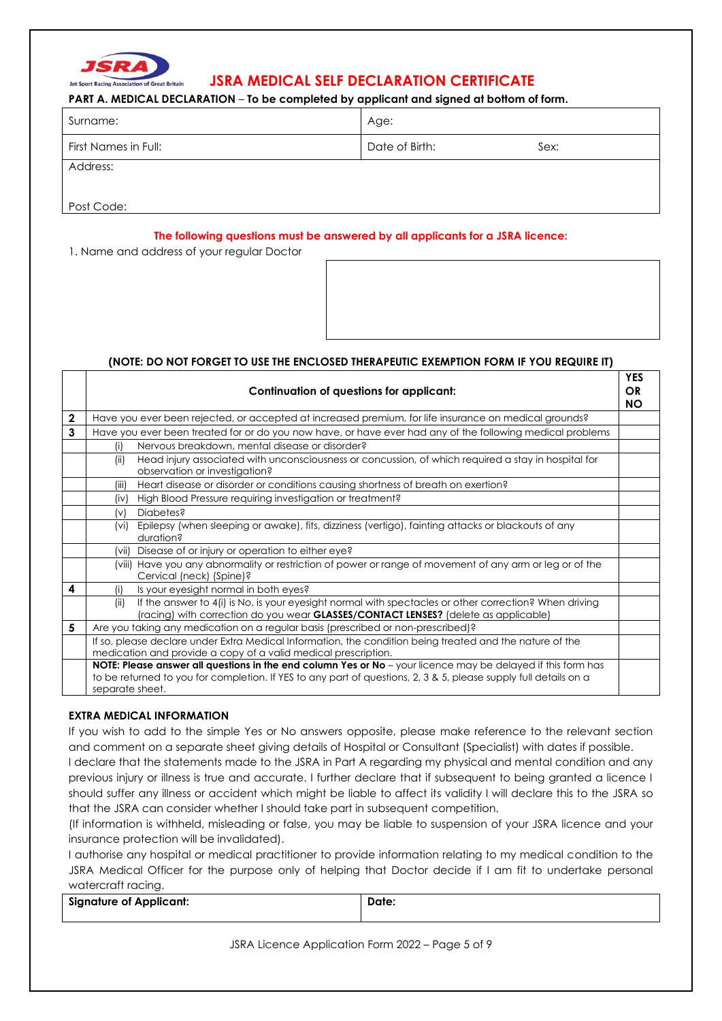

### Jet Sport Racing Association of Great Britain **JSRA MEDICAL SELF DECLARATION CERTIFICATE**

#### **PART A. MEDICAL DECLARATION** – **To be completed by applicant and signed at bottom of form.**

| Surname:             | Age:           |      |
|----------------------|----------------|------|
| First Names in Full: | Date of Birth: | Sex: |
| Address:             |                |      |

Post Code:

#### **The following questions must be answered by all applicants for a JSRA licence:**

1. Name and address of your regular Doctor

#### **(NOTE: DO NOT FORGET TO USE THE ENCLOSED THERAPEUTIC EXEMPTION FORM IF YOU REQUIRE IT)**

|              | Continuation of questions for applicant:                                                                                                                                                                                                            | <b>YES</b><br><b>OR</b><br><b>NO</b> |
|--------------|-----------------------------------------------------------------------------------------------------------------------------------------------------------------------------------------------------------------------------------------------------|--------------------------------------|
| $\mathbf{2}$ | Have you ever been rejected, or accepted at increased premium, for life insurance on medical grounds?                                                                                                                                               |                                      |
| 3            | Have you ever been treated for or do you now have, or have ever had any of the following medical problems                                                                                                                                           |                                      |
|              | Nervous breakdown, mental disease or disorder?<br>(i)                                                                                                                                                                                               |                                      |
|              | Head injury associated with unconsciousness or concussion, of which required a stay in hospital for<br>(ii)<br>observation or investigation?                                                                                                        |                                      |
|              | Heart disease or disorder or conditions causing shortness of breath on exertion?<br>(iii)                                                                                                                                                           |                                      |
|              | High Blood Pressure requiring investigation or treatment?<br>(iv)                                                                                                                                                                                   |                                      |
|              | Diabetes?<br>(v)                                                                                                                                                                                                                                    |                                      |
|              | Epilepsy (when sleeping or awake), fits, dizziness (vertigo), fainting attacks or blackouts of any<br>(vi)<br>duration?                                                                                                                             |                                      |
|              | (vii) Disease of or injury or operation to either eye?                                                                                                                                                                                              |                                      |
|              | (viii) Have you any abnormality or restriction of power or range of movement of any arm or leg or of the<br>Cervical (neck) (Spine)?                                                                                                                |                                      |
| 4            | Is your eyesight normal in both eyes?<br>(i)                                                                                                                                                                                                        |                                      |
|              | If the answer to 4(i) is No, is your eyesight normal with spectacles or other correction? When driving<br>(ii)<br>(racing) with correction do you wear <b>GLASSES/CONTACT LENSES?</b> (delete as applicable)                                        |                                      |
| 5            | Are you taking any medication on a regular basis (prescribed or non-prescribed)?                                                                                                                                                                    |                                      |
|              | If so, please declare under Extra Medical Information, the condition being treated and the nature of the<br>medication and provide a copy of a valid medical prescription.                                                                          |                                      |
|              | NOTE: Please answer all questions in the end column Yes or No - your licence may be delayed if this form has<br>to be returned to you for completion. If YES to any part of questions, 2, 3 & 5, please supply full details on a<br>separate sheet. |                                      |

#### **EXTRA MEDICAL INFORMATION**

If you wish to add to the simple Yes or No answers opposite, please make reference to the relevant section and comment on a separate sheet giving details of Hospital or Consultant (Specialist) with dates if possible.

I declare that the statements made to the JSRA in Part A regarding my physical and mental condition and any previous injury or illness is true and accurate. I further declare that if subsequent to being granted a licence I should suffer any illness or accident which might be liable to affect its validity I will declare this to the JSRA so that the JSRA can consider whether I should take part in subsequent competition.

(If information is withheld, misleading or false, you may be liable to suspension of your JSRA licence and your insurance protection will be invalidated).

I authorise any hospital or medical practitioner to provide information relating to my medical condition to the JSRA Medical Officer for the purpose only of helping that Doctor decide if I am fit to undertake personal watercraft racing.

| <b>Signature of Applicant:</b> | Date. |
|--------------------------------|-------|
|                                |       |

JSRA Licence Application Form 2022 – Page 5 of 9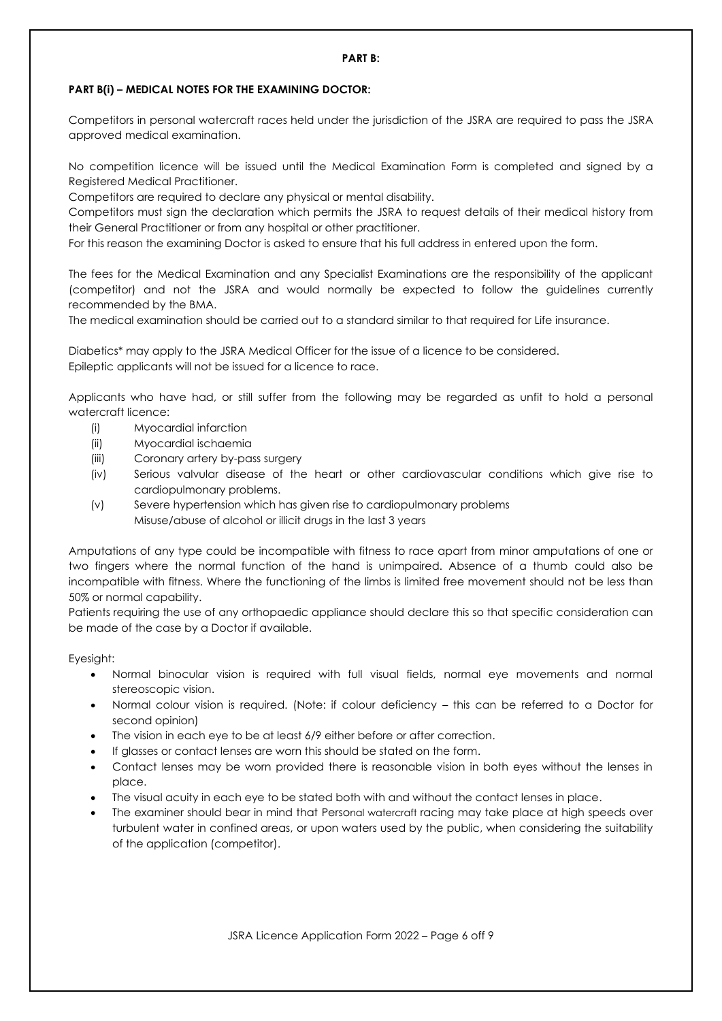#### **PART B(i) – MEDICAL NOTES FOR THE EXAMINING DOCTOR:**

Competitors in personal watercraft races held under the jurisdiction of the JSRA are required to pass the JSRA approved medical examination.

No competition licence will be issued until the Medical Examination Form is completed and signed by a Registered Medical Practitioner.

Competitors are required to declare any physical or mental disability.

Competitors must sign the declaration which permits the JSRA to request details of their medical history from their General Practitioner or from any hospital or other practitioner.

For this reason the examining Doctor is asked to ensure that his full address in entered upon the form.

The fees for the Medical Examination and any Specialist Examinations are the responsibility of the applicant (competitor) and not the JSRA and would normally be expected to follow the guidelines currently recommended by the BMA.

The medical examination should be carried out to a standard similar to that required for Life insurance.

Diabetics\* may apply to the JSRA Medical Officer for the issue of a licence to be considered. Epileptic applicants will not be issued for a licence to race.

Applicants who have had, or still suffer from the following may be regarded as unfit to hold a personal watercraft licence:

- (i) Myocardial infarction
- (ii) Myocardial ischaemia
- (iii) Coronary artery by-pass surgery
- (iv) Serious valvular disease of the heart or other cardiovascular conditions which give rise to cardiopulmonary problems.
- (v) Severe hypertension which has given rise to cardiopulmonary problems Misuse/abuse of alcohol or illicit drugs in the last 3 years

Amputations of any type could be incompatible with fitness to race apart from minor amputations of one or two fingers where the normal function of the hand is unimpaired. Absence of a thumb could also be incompatible with fitness. Where the functioning of the limbs is limited free movement should not be less than 50% or normal capability.

Patients requiring the use of any orthopaedic appliance should declare this so that specific consideration can be made of the case by a Doctor if available.

Eyesight:

- Normal binocular vision is required with full visual fields, normal eye movements and normal stereoscopic vision.
- Normal colour vision is required. (Note: if colour deficiency this can be referred to a Doctor for second opinion)
- The vision in each eye to be at least 6/9 either before or after correction.
- If glasses or contact lenses are worn this should be stated on the form.
- Contact lenses may be worn provided there is reasonable vision in both eyes without the lenses in place.
- The visual acuity in each eye to be stated both with and without the contact lenses in place.
- The examiner should bear in mind that Personal watercraft racing may take place at high speeds over turbulent water in confined areas, or upon waters used by the public, when considering the suitability of the application (competitor).

JSRA Licence Application Form 2022 – Page 6 off 9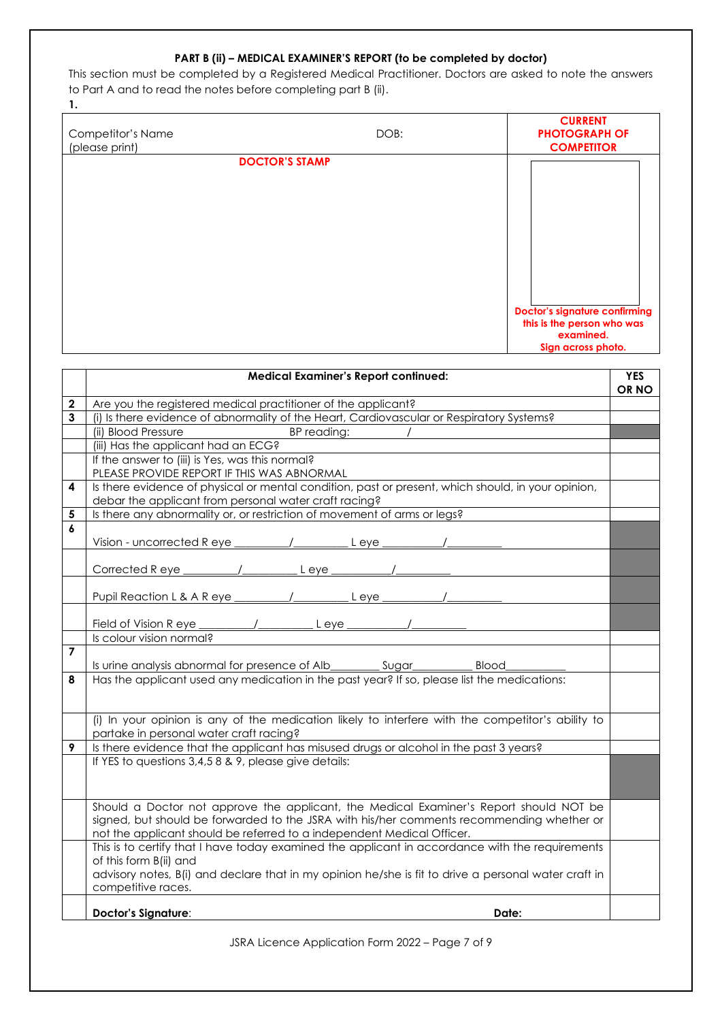#### **PART B (ii) – MEDICAL EXAMINER'S REPORT (to be completed by doctor)**

This section must be completed by a Registered Medical Practitioner. Doctors are asked to note the answers to Part A and to read the notes before completing part B (ii).

**1.**

| Competitor's Name<br>(please print) | DOB:                  | <b>CURRENT</b><br><b>PHOTOGRAPH OF</b><br><b>COMPETITOR</b> |
|-------------------------------------|-----------------------|-------------------------------------------------------------|
|                                     | <b>DOCTOR'S STAMP</b> |                                                             |
|                                     |                       |                                                             |
|                                     |                       |                                                             |
|                                     |                       |                                                             |
|                                     |                       |                                                             |
|                                     |                       |                                                             |
|                                     |                       |                                                             |
|                                     |                       |                                                             |
|                                     |                       |                                                             |
|                                     |                       |                                                             |
|                                     |                       | <b>Doctor's signature confirming</b>                        |
|                                     |                       | this is the person who was                                  |
|                                     |                       | examined.                                                   |
|                                     |                       | Sign across photo.                                          |

|                | <b>Medical Examiner's Report continued:</b>                                                                                | <b>YES</b><br>OR NO |
|----------------|----------------------------------------------------------------------------------------------------------------------------|---------------------|
| $\mathbf{2}$   | Are you the registered medical practitioner of the applicant?                                                              |                     |
| 3              | (i) Is there evidence of abnormality of the Heart, Cardiovascular or Respiratory Systems?                                  |                     |
|                | (ii) Blood Pressure<br>BP reading:                                                                                         |                     |
|                | (iii) Has the applicant had an ECG?                                                                                        |                     |
|                | If the answer to (iii) is Yes, was this normal?                                                                            |                     |
|                | PLEASE PROVIDE REPORT IF THIS WAS ABNORMAL                                                                                 |                     |
| 4              | Is there evidence of physical or mental condition, past or present, which should, in your opinion,                         |                     |
| 5              | debar the applicant from personal water craft racing?                                                                      |                     |
| 6              | Is there any abnormality or, or restriction of movement of arms or legs?                                                   |                     |
|                | L eve                                                                                                                      |                     |
|                |                                                                                                                            |                     |
|                | Corrected Reye<br>L eye                                                                                                    |                     |
|                |                                                                                                                            |                     |
|                | $L$ eye $\frac{1}{2}$                                                                                                      |                     |
|                |                                                                                                                            |                     |
|                |                                                                                                                            |                     |
|                | Is colour vision normal?                                                                                                   |                     |
| $\overline{7}$ |                                                                                                                            |                     |
|                | Is urine analysis abnormal for presence of Alb__________________________________<br><b>Blood</b>                           |                     |
| 8              | Has the applicant used any medication in the past year? If so, please list the medications:                                |                     |
|                |                                                                                                                            |                     |
|                |                                                                                                                            |                     |
|                | (i) In your opinion is any of the medication likely to interfere with the competitor's ability to                          |                     |
|                | partake in personal water craft racing?                                                                                    |                     |
| 9              | Is there evidence that the applicant has misused drugs or alcohol in the past 3 years?                                     |                     |
|                | If YES to questions 3,4,5 8 & 9, please give details:                                                                      |                     |
|                |                                                                                                                            |                     |
|                |                                                                                                                            |                     |
|                | Should a Doctor not approve the applicant, the Medical Examiner's Report should NOT be                                     |                     |
|                | signed, but should be forwarded to the JSRA with his/her comments recommending whether or                                  |                     |
|                | not the applicant should be referred to a independent Medical Officer.                                                     |                     |
|                | This is to certify that I have today examined the applicant in accordance with the requirements                            |                     |
|                | of this form B(ii) and                                                                                                     |                     |
|                | advisory notes, B(i) and declare that in my opinion he/she is fit to drive a personal water craft in<br>competitive races. |                     |
|                |                                                                                                                            |                     |
|                | <b>Doctor's Signature:</b><br>Date:                                                                                        |                     |

JSRA Licence Application Form 2022 – Page 7 of 9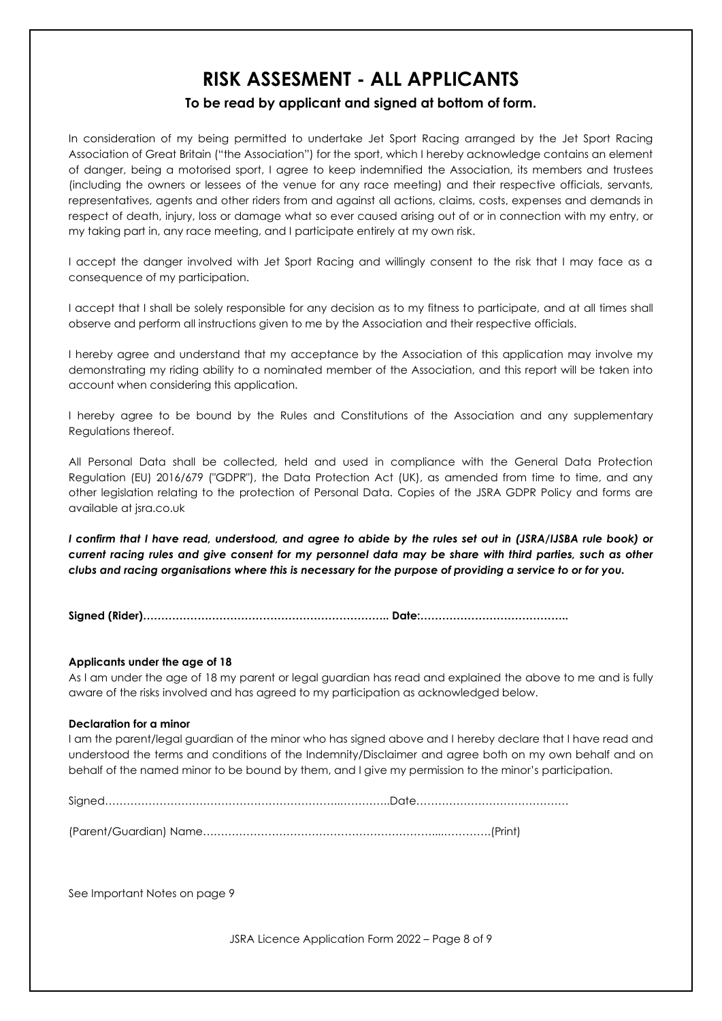## **RISK ASSESMENT - ALL APPLICANTS**

### **To be read by applicant and signed at bottom of form.**

In consideration of my being permitted to undertake Jet Sport Racing arranged by the Jet Sport Racing Association of Great Britain ("the Association") for the sport, which I hereby acknowledge contains an element of danger, being a motorised sport, I agree to keep indemnified the Association, its members and trustees (including the owners or lessees of the venue for any race meeting) and their respective officials, servants, representatives, agents and other riders from and against all actions, claims, costs, expenses and demands in respect of death, injury, loss or damage what so ever caused arising out of or in connection with my entry, or my taking part in, any race meeting, and I participate entirely at my own risk.

I accept the danger involved with Jet Sport Racing and willingly consent to the risk that I may face as a consequence of my participation.

I accept that I shall be solely responsible for any decision as to my fitness to participate, and at all times shall observe and perform all instructions given to me by the Association and their respective officials.

I hereby agree and understand that my acceptance by the Association of this application may involve my demonstrating my riding ability to a nominated member of the Association, and this report will be taken into account when considering this application.

I hereby agree to be bound by the Rules and Constitutions of the Association and any supplementary Regulations thereof.

All Personal Data shall be collected, held and used in compliance with the General Data Protection Regulation (EU) 2016/679 ("GDPR"), the Data Protection Act (UK), as amended from time to time, and any other legislation relating to the protection of Personal Data. Copies of the JSRA GDPR Policy and forms are available at jsra.co.uk

*I confirm that I have read, understood, and agree to abide by the rules set out in (JSRA/IJSBA rule book) or current racing rules and give consent for my personnel data may be share with third parties, such as other clubs and racing organisations where this is necessary for the purpose of providing a service to or for you.*

**Signed (Rider)………………………………………………………….. Date:…………………………………..**

#### **Applicants under the age of 18**

As I am under the age of 18 my parent or legal guardian has read and explained the above to me and is fully aware of the risks involved and has agreed to my participation as acknowledged below.

#### **Declaration for a minor**

I am the parent/legal guardian of the minor who has signed above and I hereby declare that I have read and understood the terms and conditions of the Indemnity/Disclaimer and agree both on my own behalf and on behalf of the named minor to be bound by them, and I give my permission to the minor's participation.

Signed………………………………………………………..…………..Date……………………………………

(Parent/Guardian) Name………………………………………………………....………….(Print)

See Important Notes on page 9

JSRA Licence Application Form 2022 – Page 8 of 9